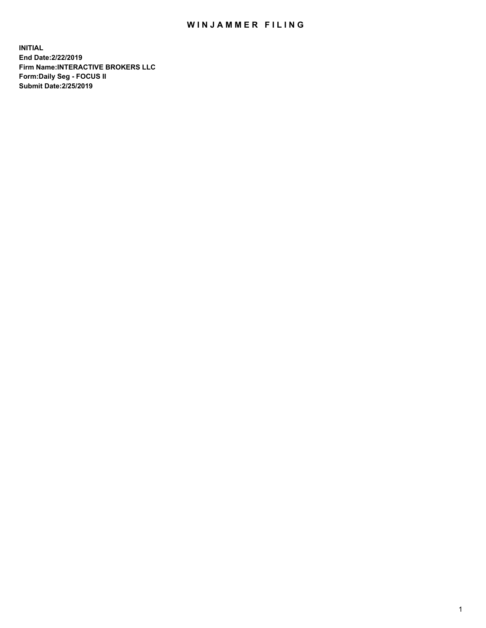## WIN JAMMER FILING

**INITIAL End Date:2/22/2019 Firm Name:INTERACTIVE BROKERS LLC Form:Daily Seg - FOCUS II Submit Date:2/25/2019**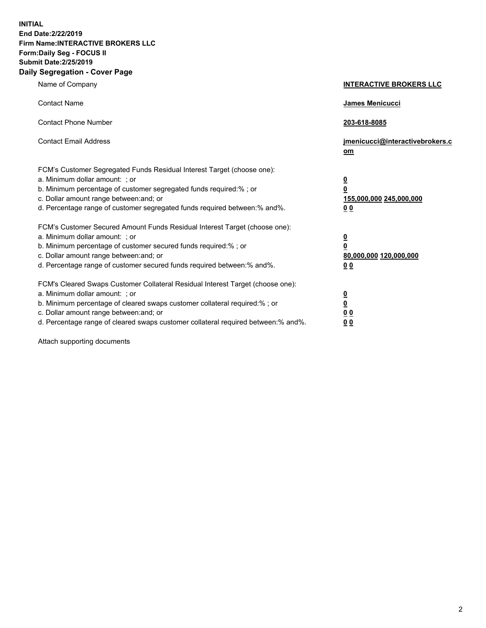**INITIAL End Date:2/22/2019 Firm Name:INTERACTIVE BROKERS LLC Form:Daily Seg - FOCUS II Submit Date:2/25/2019 Daily Segregation - Cover Page**

| Name of Company                                                                                                                                                                                                                                                                                                                | <b>INTERACTIVE BROKERS LLC</b>                                                   |
|--------------------------------------------------------------------------------------------------------------------------------------------------------------------------------------------------------------------------------------------------------------------------------------------------------------------------------|----------------------------------------------------------------------------------|
| <b>Contact Name</b>                                                                                                                                                                                                                                                                                                            | James Menicucci                                                                  |
| <b>Contact Phone Number</b>                                                                                                                                                                                                                                                                                                    | 203-618-8085                                                                     |
| <b>Contact Email Address</b>                                                                                                                                                                                                                                                                                                   | jmenicucci@interactivebrokers.c<br>om                                            |
| FCM's Customer Segregated Funds Residual Interest Target (choose one):<br>a. Minimum dollar amount: ; or<br>b. Minimum percentage of customer segregated funds required:% ; or<br>c. Dollar amount range between: and; or<br>d. Percentage range of customer segregated funds required between:% and%.                         | <u>0</u><br>$\overline{\mathbf{0}}$<br>155,000,000 245,000,000<br>0 <sub>0</sub> |
| FCM's Customer Secured Amount Funds Residual Interest Target (choose one):<br>a. Minimum dollar amount: ; or<br>b. Minimum percentage of customer secured funds required:% ; or<br>c. Dollar amount range between: and; or<br>d. Percentage range of customer secured funds required between:% and%.                           | <u>0</u><br>$\overline{\mathbf{0}}$<br>80,000,000 120,000,000<br>0 <sub>0</sub>  |
| FCM's Cleared Swaps Customer Collateral Residual Interest Target (choose one):<br>a. Minimum dollar amount: ; or<br>b. Minimum percentage of cleared swaps customer collateral required:% ; or<br>c. Dollar amount range between: and; or<br>d. Percentage range of cleared swaps customer collateral required between:% and%. | <u>0</u><br>$\underline{\mathbf{0}}$<br>0 <sub>0</sub><br>0 <sub>0</sub>         |

Attach supporting documents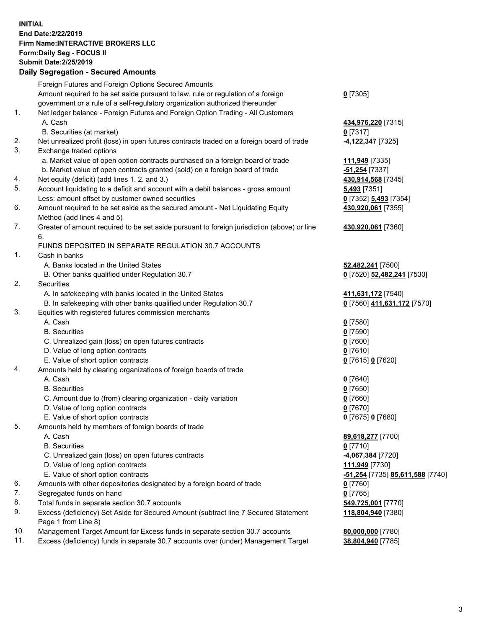## **INITIAL End Date:2/22/2019 Firm Name:INTERACTIVE BROKERS LLC Form:Daily Seg - FOCUS II Submit Date:2/25/2019 Daily Segregation - Secured Amounts**

|                | Daily Ocglegation - Occuled Aniounts                                                              |                                                      |
|----------------|---------------------------------------------------------------------------------------------------|------------------------------------------------------|
|                | Foreign Futures and Foreign Options Secured Amounts                                               |                                                      |
|                | Amount required to be set aside pursuant to law, rule or regulation of a foreign                  | $0$ [7305]                                           |
|                | government or a rule of a self-regulatory organization authorized thereunder                      |                                                      |
| $\mathbf{1}$ . | Net ledger balance - Foreign Futures and Foreign Option Trading - All Customers                   |                                                      |
|                | A. Cash                                                                                           | 434,976,220 [7315]                                   |
|                | B. Securities (at market)                                                                         | $0$ [7317]                                           |
| 2.             | Net unrealized profit (loss) in open futures contracts traded on a foreign board of trade         | -4,122,347 [7325]                                    |
| 3.             | Exchange traded options                                                                           |                                                      |
|                | a. Market value of open option contracts purchased on a foreign board of trade                    | 111,949 [7335]                                       |
|                | b. Market value of open contracts granted (sold) on a foreign board of trade                      | -51,254 [7337]                                       |
| 4.             | Net equity (deficit) (add lines 1.2. and 3.)                                                      | 430,914,568 [7345]                                   |
| 5.             | Account liquidating to a deficit and account with a debit balances - gross amount                 | <b>5,493</b> [7351]                                  |
|                | Less: amount offset by customer owned securities                                                  | 0 [7352] 5,493 [7354]                                |
| 6.             | Amount required to be set aside as the secured amount - Net Liquidating Equity                    | 430,920,061 [7355]                                   |
|                | Method (add lines 4 and 5)                                                                        |                                                      |
| 7.             | Greater of amount required to be set aside pursuant to foreign jurisdiction (above) or line<br>6. | 430,920,061 [7360]                                   |
|                | FUNDS DEPOSITED IN SEPARATE REGULATION 30.7 ACCOUNTS                                              |                                                      |
| $\mathbf{1}$ . | Cash in banks                                                                                     |                                                      |
|                | A. Banks located in the United States                                                             | 52,482,241 [7500]                                    |
|                | B. Other banks qualified under Regulation 30.7                                                    | 0 [7520] 52,482,241 [7530]                           |
| 2.             | Securities                                                                                        |                                                      |
|                | A. In safekeeping with banks located in the United States                                         | 411,631,172 [7540]                                   |
|                | B. In safekeeping with other banks qualified under Regulation 30.7                                | 0 [7560] 411,631,172 [7570]                          |
| 3.             | Equities with registered futures commission merchants                                             |                                                      |
|                | A. Cash                                                                                           | $0$ [7580]                                           |
|                | <b>B.</b> Securities                                                                              | $0$ [7590]                                           |
|                | C. Unrealized gain (loss) on open futures contracts                                               | $0$ [7600]                                           |
|                | D. Value of long option contracts                                                                 | $0$ [7610]                                           |
|                | E. Value of short option contracts                                                                | 0 [7615] 0 [7620]                                    |
| 4.             | Amounts held by clearing organizations of foreign boards of trade                                 |                                                      |
|                | A. Cash                                                                                           | $0$ [7640]                                           |
|                | <b>B.</b> Securities                                                                              | $0$ [7650]                                           |
|                | C. Amount due to (from) clearing organization - daily variation                                   | $0$ [7660]                                           |
|                | D. Value of long option contracts                                                                 | $0$ [7670]                                           |
|                | E. Value of short option contracts                                                                | 0 [7675] 0 [7680]                                    |
| 5.             | Amounts held by members of foreign boards of trade                                                |                                                      |
|                | A. Cash                                                                                           | 89,618,277 [7700]                                    |
|                | <b>B.</b> Securities                                                                              | $0$ [7710]                                           |
|                | C. Unrealized gain (loss) on open futures contracts                                               | -4,067,384 [7720]                                    |
|                | D. Value of long option contracts                                                                 | 111,949 [7730]                                       |
|                | E. Value of short option contracts                                                                | <mark>-51,254</mark> [7735] <b>85,611,588</b> [7740] |
| 6.             | Amounts with other depositories designated by a foreign board of trade                            | 0 [7760]                                             |
| 7.             | Segregated funds on hand                                                                          | $0$ [7765]                                           |
| 8.             | Total funds in separate section 30.7 accounts                                                     | 549,725,001 [7770]                                   |
| 9.             | Excess (deficiency) Set Aside for Secured Amount (subtract line 7 Secured Statement               | 118,804,940 [7380]                                   |
|                | Page 1 from Line 8)                                                                               |                                                      |
| 10.            | Management Target Amount for Excess funds in separate section 30.7 accounts                       | 80,000,000 [7780]                                    |
| 11.            | Excess (deficiency) funds in separate 30.7 accounts over (under) Management Target                | 38,804,940 [7785]                                    |
|                |                                                                                                   |                                                      |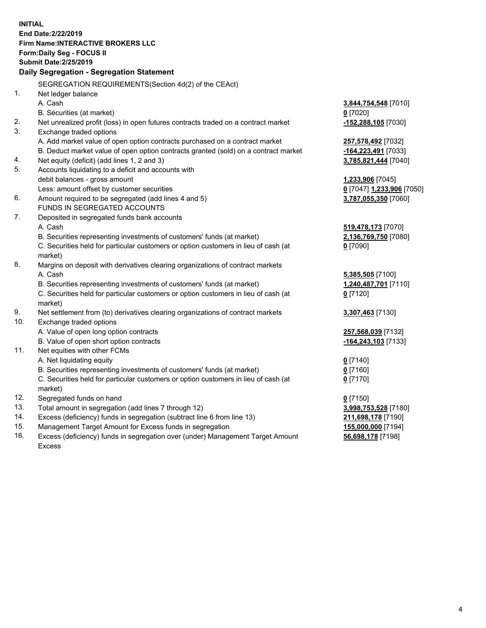**INITIAL End Date:2/22/2019 Firm Name:INTERACTIVE BROKERS LLC Form:Daily Seg - FOCUS II Submit Date:2/25/2019 Daily Segregation - Segregation Statement** SEGREGATION REQUIREMENTS(Section 4d(2) of the CEAct) 1. Net ledger balance A. Cash **3,844,754,548** [7010] B. Securities (at market) **0** [7020] 2. Net unrealized profit (loss) in open futures contracts traded on a contract market **-152,288,105** [7030] 3. Exchange traded options A. Add market value of open option contracts purchased on a contract market **257,578,492** [7032] B. Deduct market value of open option contracts granted (sold) on a contract market **-164,223,491** [7033] 4. Net equity (deficit) (add lines 1, 2 and 3) **3,785,821,444** [7040] 5. Accounts liquidating to a deficit and accounts with debit balances - gross amount **1,233,906** [7045] Less: amount offset by customer securities **0** [7047] **1,233,906** [7050] 6. Amount required to be segregated (add lines 4 and 5) **3,787,055,350** [7060] FUNDS IN SEGREGATED ACCOUNTS 7. Deposited in segregated funds bank accounts A. Cash **519,478,173** [7070] B. Securities representing investments of customers' funds (at market) **2,136,769,750** [7080] C. Securities held for particular customers or option customers in lieu of cash (at market) **0** [7090] 8. Margins on deposit with derivatives clearing organizations of contract markets A. Cash **5,385,505** [7100] B. Securities representing investments of customers' funds (at market) **1,240,487,701** [7110] C. Securities held for particular customers or option customers in lieu of cash (at market) **0** [7120] 9. Net settlement from (to) derivatives clearing organizations of contract markets **3,307,463** [7130] 10. Exchange traded options A. Value of open long option contracts **257,568,039** [7132] B. Value of open short option contracts **-164,243,103** [7133] 11. Net equities with other FCMs A. Net liquidating equity **0** [7140] B. Securities representing investments of customers' funds (at market) **0** [7160] C. Securities held for particular customers or option customers in lieu of cash (at market) **0** [7170] 12. Segregated funds on hand **0** [7150] 13. Total amount in segregation (add lines 7 through 12) **3,998,753,528** [7180] 14. Excess (deficiency) funds in segregation (subtract line 6 from line 13) **211,698,178** [7190] 15. Management Target Amount for Excess funds in segregation **155,000,000** [7194]

16. Excess (deficiency) funds in segregation over (under) Management Target Amount Excess

**56,698,178** [7198]